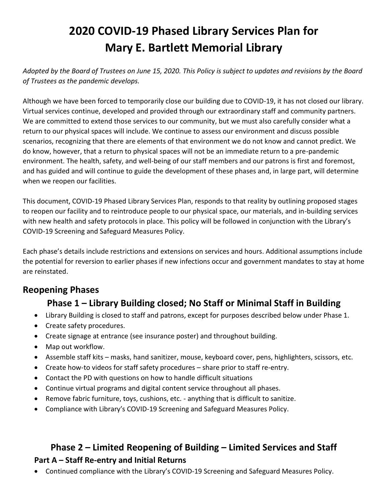# **2020 COVID-19 Phased Library Services Plan for Mary E. Bartlett Memorial Library**

*Adopted by the Board of Trustees on June 15, 2020. This Policy is subject to updates and revisions by the Board of Trustees as the pandemic develops.* 

Although we have been forced to temporarily close our building due to COVID-19, it has not closed our library. Virtual services continue, developed and provided through our extraordinary staff and community partners. We are committed to extend those services to our community, but we must also carefully consider what a return to our physical spaces will include. We continue to assess our environment and discuss possible scenarios, recognizing that there are elements of that environment we do not know and cannot predict. We do know, however, that a return to physical spaces will not be an immediate return to a pre-pandemic environment. The health, safety, and well-being of our staff members and our patrons is first and foremost, and has guided and will continue to guide the development of these phases and, in large part, will determine when we reopen our facilities.

This document, COVID-19 Phased Library Services Plan, responds to that reality by outlining proposed stages to reopen our facility and to reintroduce people to our physical space, our materials, and in-building services with new health and safety protocols in place. This policy will be followed in conjunction with the Library's COVID-19 Screening and Safeguard Measures Policy.

Each phase's details include restrictions and extensions on services and hours. Additional assumptions include the potential for reversion to earlier phases if new infections occur and government mandates to stay at home are reinstated.

### **Reopening Phases**

## **Phase 1 – Library Building closed; No Staff or Minimal Staff in Building**

- Library Building is closed to staff and patrons, except for purposes described below under Phase 1.
- Create safety procedures.
- Create signage at entrance (see insurance poster) and throughout building.
- Map out workflow.
- Assemble staff kits masks, hand sanitizer, mouse, keyboard cover, pens, highlighters, scissors, etc.
- Create how-to videos for staff safety procedures share prior to staff re-entry.
- Contact the PD with questions on how to handle difficult situations
- Continue virtual programs and digital content service throughout all phases.
- Remove fabric furniture, toys, cushions, etc. anything that is difficult to sanitize.
- Compliance with Library's COVID-19 Screening and Safeguard Measures Policy.

## **Phase 2 – Limited Reopening of Building – Limited Services and Staff Part A – Staff Re-entry and Initial Returns**

• Continued compliance with the Library's COVID-19 Screening and Safeguard Measures Policy.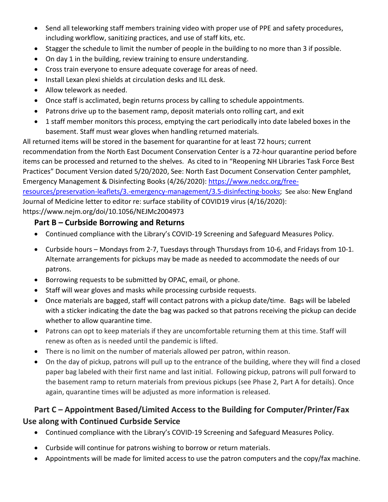- Send all teleworking staff members training video with proper use of PPE and safety procedures, including workflow, sanitizing practices, and use of staff kits, etc.
- Stagger the schedule to limit the number of people in the building to no more than 3 if possible.
- On day 1 in the building, review training to ensure understanding.
- Cross train everyone to ensure adequate coverage for areas of need.
- Install Lexan plexi shields at circulation desks and ILL desk.
- Allow telework as needed.
- Once staff is acclimated, begin returns process by calling to schedule appointments.
- Patrons drive up to the basement ramp, deposit materials onto rolling cart, and exit
- 1 staff member monitors this process, emptying the cart periodically into date labeled boxes in the basement. Staff must wear gloves when handling returned materials.

All returned items will be stored in the basement for quarantine for at least 72 hours; current recommendation from the North East Document Conservation Center is a 72-hour quarantine period before items can be processed and returned to the shelves. As cited to in "Reopening NH Libraries Task Force Best Practices" Document Version dated 5/20/2020, See: North East Document Conservation Center pamphlet, Emergency Management & Disinfecting Books (4/26/2020): [https://www.nedcc.org/free](https://www.nedcc.org/free-resources/preservation-leaflets/3.-emergency-management/3.5-disinfecting-books)[resources/preservation-leaflets/3.-emergency-management/3.5-disinfecting-books;](https://www.nedcc.org/free-resources/preservation-leaflets/3.-emergency-management/3.5-disinfecting-books) See also: New England Journal of Medicine letter to editor re: surface stability of COVID19 virus (4/16/2020): https://www.nejm.org/doi/10.1056/NEJMc2004973

#### **Part B – Curbside Borrowing and Returns**

- Continued compliance with the Library's COVID-19 Screening and Safeguard Measures Policy.
- Curbside hours Mondays from 2-7, Tuesdays through Thursdays from 10-6, and Fridays from 10-1. Alternate arrangements for pickups may be made as needed to accommodate the needs of our patrons.
- Borrowing requests to be submitted by OPAC, email, or phone.
- Staff will wear gloves and masks while processing curbside requests.
- Once materials are bagged, staff will contact patrons with a pickup date/time. Bags will be labeled with a sticker indicating the date the bag was packed so that patrons receiving the pickup can decide whether to allow quarantine time.
- Patrons can opt to keep materials if they are uncomfortable returning them at this time. Staff will renew as often as is needed until the pandemic is lifted.
- There is no limit on the number of materials allowed per patron, within reason.
- On the day of pickup, patrons will pull up to the entrance of the building, where they will find a closed paper bag labeled with their first name and last initial. Following pickup, patrons will pull forward to the basement ramp to return materials from previous pickups (see Phase 2, Part A for details). Once again, quarantine times will be adjusted as more information is released.

### **Part C – Appointment Based/Limited Access to the Building for Computer/Printer/Fax Use along with Continued Curbside Service**

- Continued compliance with the Library's COVID-19 Screening and Safeguard Measures Policy.
- Curbside will continue for patrons wishing to borrow or return materials.
- Appointments will be made for limited access to use the patron computers and the copy/fax machine.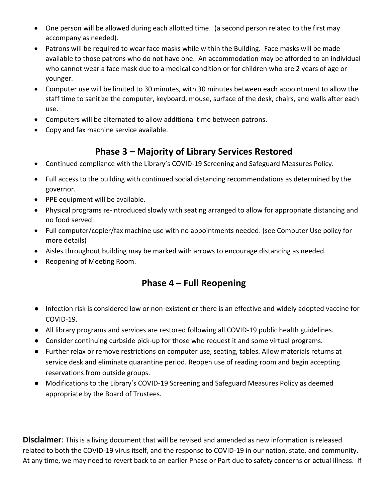- One person will be allowed during each allotted time. (a second person related to the first may accompany as needed).
- Patrons will be required to wear face masks while within the Building. Face masks will be made available to those patrons who do not have one. An accommodation may be afforded to an individual who cannot wear a face mask due to a medical condition or for children who are 2 years of age or younger.
- Computer use will be limited to 30 minutes, with 30 minutes between each appointment to allow the staff time to sanitize the computer, keyboard, mouse, surface of the desk, chairs, and walls after each use.
- Computers will be alternated to allow additional time between patrons.
- Copy and fax machine service available.

## **Phase 3 – Majority of Library Services Restored**

- Continued compliance with the Library's COVID-19 Screening and Safeguard Measures Policy.
- Full access to the building with continued social distancing recommendations as determined by the governor.
- PPE equipment will be available.
- Physical programs re-introduced slowly with seating arranged to allow for appropriate distancing and no food served.
- Full computer/copier/fax machine use with no appointments needed. (see Computer Use policy for more details)
- Aisles throughout building may be marked with arrows to encourage distancing as needed.
- Reopening of Meeting Room.

## **Phase 4 – Full Reopening**

- Infection risk is considered low or non-existent or there is an effective and widely adopted vaccine for COVID-19.
- All library programs and services are restored following all COVID-19 public health guidelines.
- Consider continuing curbside pick-up for those who request it and some virtual programs.
- Further relax or remove restrictions on computer use, seating, tables. Allow materials returns at service desk and eliminate quarantine period. Reopen use of reading room and begin accepting reservations from outside groups.
- Modifications to the Library's COVID-19 Screening and Safeguard Measures Policy as deemed appropriate by the Board of Trustees.

**Disclaimer**: This is a living document that will be revised and amended as new information is released related to both the COVID-19 virus itself, and the response to COVID-19 in our nation, state, and community. At any time, we may need to revert back to an earlier Phase or Part due to safety concerns or actual illness. If